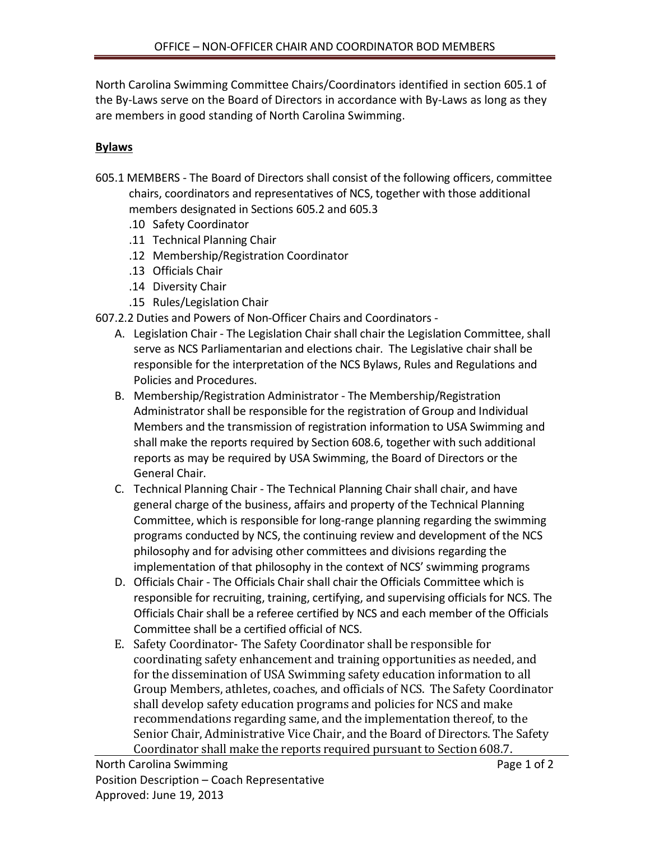North Carolina Swimming Committee Chairs/Coordinators identified in section 605.1 of the By-Laws serve on the Board of Directors in accordance with By-Laws as long as they are members in good standing of North Carolina Swimming.

## **Bylaws**

- 605.1 MEMBERS The Board of Directors shall consist of the following officers, committee chairs, coordinators and representatives of NCS, together with those additional members designated in Sections 605.2 and 605.3
	- .10 Safety Coordinator
	- .11 Technical Planning Chair
	- .12 Membership/Registration Coordinator
	- .13 Officials Chair
	- .14 Diversity Chair
	- .15 Rules/Legislation Chair
- 607.2.2 Duties and Powers of Non-Officer Chairs and Coordinators
	- A. Legislation Chair The Legislation Chair shall chair the Legislation Committee, shall serve as NCS Parliamentarian and elections chair. The Legislative chair shall be responsible for the interpretation of the NCS Bylaws, Rules and Regulations and Policies and Procedures.
	- B. Membership/Registration Administrator The Membership/Registration Administrator shall be responsible for the registration of Group and Individual Members and the transmission of registration information to USA Swimming and shall make the reports required by Section 608.6, together with such additional reports as may be required by USA Swimming, the Board of Directors or the General Chair.
	- C. Technical Planning Chair The Technical Planning Chair shall chair, and have general charge of the business, affairs and property of the Technical Planning Committee, which is responsible for long-range planning regarding the swimming programs conducted by NCS, the continuing review and development of the NCS philosophy and for advising other committees and divisions regarding the implementation of that philosophy in the context of NCS' swimming programs
	- D. Officials Chair The Officials Chair shall chair the Officials Committee which is responsible for recruiting, training, certifying, and supervising officials for NCS. The Officials Chair shall be a referee certified by NCS and each member of the Officials Committee shall be a certified official of NCS.
	- E. Safety Coordinator- The Safety Coordinator shall be responsible for coordinating safety enhancement and training opportunities as needed, and for the dissemination of USA Swimming safety education information to all Group Members, athletes, coaches, and officials of NCS. The Safety Coordinator shall develop safety education programs and policies for NCS and make recommendations regarding same, and the implementation thereof, to the Senior Chair, Administrative Vice Chair, and the Board of Directors. The Safety Coordinator shall make the reports required pursuant to Section 608.7.